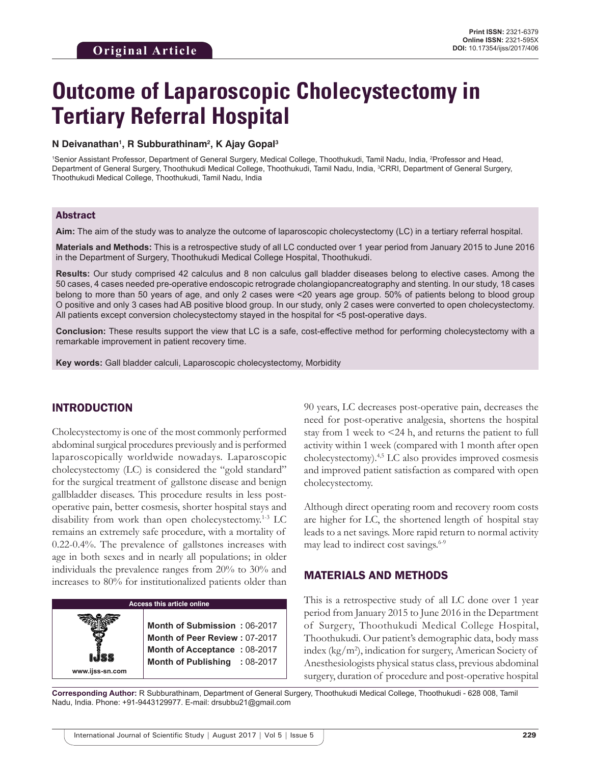# **Outcome of Laparoscopic Cholecystectomy in Tertiary Referral Hospital**

#### **N Deivanathan1 , R Subburathinam2 , K Ajay Gopal3**

1 Senior Assistant Professor, Department of General Surgery, Medical College, Thoothukudi, Tamil Nadu, India, 2 Professor and Head, Department of General Surgery, Thoothukudi Medical College, Thoothukudi, Tamil Nadu, India, <sup>3</sup>CRRI, Department of General Surgery, Thoothukudi Medical College, Thoothukudi, Tamil Nadu, India

### Abstract

**Aim:** The aim of the study was to analyze the outcome of laparoscopic cholecystectomy (LC) in a tertiary referral hospital.

**Materials and Methods:** This is a retrospective study of all LC conducted over 1 year period from January 2015 to June 2016 in the Department of Surgery, Thoothukudi Medical College Hospital, Thoothukudi.

**Results:** Our study comprised 42 calculus and 8 non calculus gall bladder diseases belong to elective cases. Among the 50 cases, 4 cases needed pre-operative endoscopic retrograde cholangiopancreatography and stenting. In our study, 18 cases belong to more than 50 years of age, and only 2 cases were <20 years age group. 50% of patients belong to blood group O positive and only 3 cases had AB positive blood group. In our study, only 2 cases were converted to open cholecystectomy. All patients except conversion cholecystectomy stayed in the hospital for <5 post-operative days.

**Conclusion:** These results support the view that LC is a safe, cost-effective method for performing cholecystectomy with a remarkable improvement in patient recovery time.

**Key words:** Gall bladder calculi, Laparoscopic cholecystectomy, Morbidity

## INTRODUCTION

Cholecystectomy is one of the most commonly performed abdominal surgical procedures previously and is performed laparoscopically worldwide nowadays. Laparoscopic cholecystectomy (LC) is considered the "gold standard" for the surgical treatment of gallstone disease and benign gallbladder diseases. This procedure results in less postoperative pain, better cosmesis, shorter hospital stays and disability from work than open cholecystectomy.1-3 LC remains an extremely safe procedure, with a mortality of 0.22-0.4%. The prevalence of gallstones increases with age in both sexes and in nearly all populations; in older individuals the prevalence ranges from 20% to 30% and increases to 80% for institutionalized patients older than

| Access this article online |                                                                                                                                |  |
|----------------------------|--------------------------------------------------------------------------------------------------------------------------------|--|
| www.ijss-sn.com            | Month of Submission: 06-2017<br>Month of Peer Review: 07-2017<br>Month of Acceptance: 08-2017<br>Month of Publishing : 08-2017 |  |

90 years, LC decreases post-operative pain, decreases the need for post-operative analgesia, shortens the hospital stay from 1 week to <24 h, and returns the patient to full activity within 1 week (compared with 1 month after open cholecystectomy).4,5 LC also provides improved cosmesis and improved patient satisfaction as compared with open cholecystectomy.

Although direct operating room and recovery room costs are higher for LC, the shortened length of hospital stay leads to a net savings. More rapid return to normal activity may lead to indirect cost savings.<sup>6-9</sup>

## MATERIALS AND METHODS

This is a retrospective study of all LC done over 1 year period from January 2015 to June 2016 in the Department of Surgery, Thoothukudi Medical College Hospital, Thoothukudi. Our patient's demographic data, body mass index (kg/m2 ), indication for surgery, American Society of Anesthesiologists physical status class, previous abdominal surgery, duration of procedure and post-operative hospital

**Corresponding Author:** R Subburathinam, Department of General Surgery, Thoothukudi Medical College, Thoothukudi - 628 008, Tamil Nadu, India. Phone: +91-9443129977. E-mail: drsubbu21@gmail.com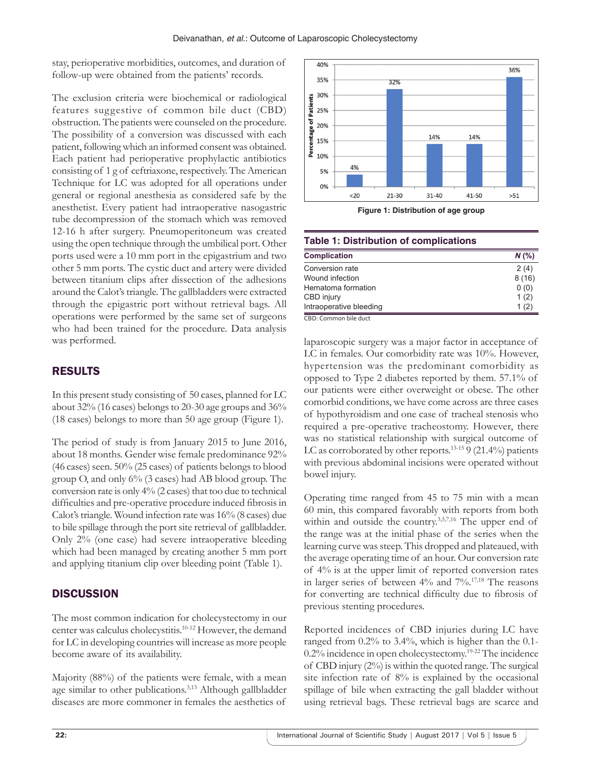stay, perioperative morbidities, outcomes, and duration of follow-up were obtained from the patients' records.

The exclusion criteria were biochemical or radiological features suggestive of common bile duct (CBD) obstruction. The patients were counseled on the procedure. The possibility of a conversion was discussed with each patient, following which an informed consent was obtained. Each patient had perioperative prophylactic antibiotics consisting of 1 g of ceftriaxone, respectively. The American Technique for LC was adopted for all operations under general or regional anesthesia as considered safe by the anesthetist. Every patient had intraoperative nasogastric tube decompression of the stomach which was removed 12-16 h after surgery. Pneumoperitoneum was created using the open technique through the umbilical port. Other ports used were a 10 mm port in the epigastrium and two other 5 mm ports. The cystic duct and artery were divided between titanium clips after dissection of the adhesions around the Calot's triangle. The gallbladders were extracted through the epigastric port without retrieval bags. All operations were performed by the same set of surgeons who had been trained for the procedure. Data analysis was performed.

# RESULTS

In this present study consisting of 50 cases, planned for LC about 32% (16 cases) belongs to 20-30 age groups and 36% (18 cases) belongs to more than 50 age group (Figure 1).

The period of study is from January 2015 to June 2016, about 18 months. Gender wise female predominance 92% (46 cases) seen. 50% (25 cases) of patients belongs to blood group O, and only 6% (3 cases) had AB blood group. The conversion rate is only 4% (2 cases) that too due to technical difficulties and pre-operative procedure induced fibrosis in Calot's triangle. Wound infection rate was 16% (8 cases) due to bile spillage through the port site retrieval of gallbladder. Only 2% (one case) had severe intraoperative bleeding which had been managed by creating another 5 mm port and applying titanium clip over bleeding point (Table 1).

# **DISCUSSION**

The most common indication for cholecystectomy in our center was calculus cholecystitis.10-12 However, the demand for LC in developing countries will increase as more people become aware of its availability.

Majority (88%) of the patients were female, with a mean age similar to other publications.<sup>3,13</sup> Although gallbladder diseases are more commoner in females the aesthetics of



**Figure 1: Distribution of age group**

| <b>Table 1: Distribution of complications</b> |         |  |
|-----------------------------------------------|---------|--|
| <b>Complication</b>                           | $N$ (%) |  |
| Conversion rate                               | 2(4)    |  |
| Wound infection                               | 8(16)   |  |
| Hematoma formation                            | 0(0)    |  |
| CBD injury                                    | 1(2)    |  |
| Intraoperative bleeding                       | 1(2)    |  |

CBD: Common bile duct

laparoscopic surgery was a major factor in acceptance of LC in females. Our comorbidity rate was 10%. However, hypertension was the predominant comorbidity as opposed to Type 2 diabetes reported by them. 57.1% of our patients were either overweight or obese. The other comorbid conditions, we have come across are three cases of hypothyroidism and one case of tracheal stenosis who required a pre-operative tracheostomy. However, there was no statistical relationship with surgical outcome of LC as corroborated by other reports.<sup>13-15</sup> 9 (21.4%) patients with previous abdominal incisions were operated without bowel injury.

Operating time ranged from 45 to 75 min with a mean 60 min, this compared favorably with reports from both within and outside the country.<sup>3,5,7,16</sup> The upper end of the range was at the initial phase of the series when the learning curve was steep. This dropped and plateaued, with the average operating time of an hour. Our conversion rate of 4% is at the upper limit of reported conversion rates in larger series of between 4% and 7%.17,18 The reasons for converting are technical difficulty due to fibrosis of previous stenting procedures.

Reported incidences of CBD injuries during LC have ranged from 0.2% to 3.4%, which is higher than the 0.1- 0.2% incidence in open cholecystectomy.19-22 The incidence of CBD injury (2%) is within the quoted range. The surgical site infection rate of 8% is explained by the occasional spillage of bile when extracting the gall bladder without using retrieval bags. These retrieval bags are scarce and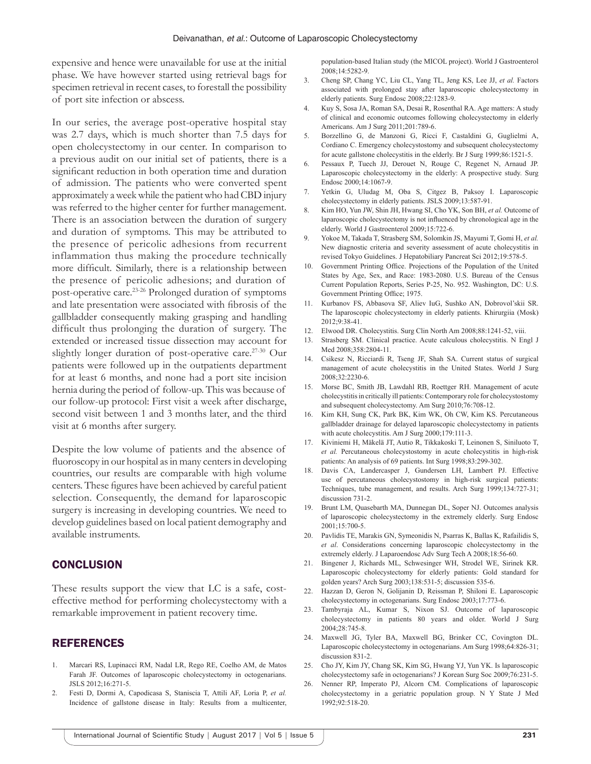expensive and hence were unavailable for use at the initial phase. We have however started using retrieval bags for specimen retrieval in recent cases, to forestall the possibility of port site infection or abscess.

In our series, the average post-operative hospital stay was 2.7 days, which is much shorter than 7.5 days for open cholecystectomy in our center. In comparison to a previous audit on our initial set of patients, there is a significant reduction in both operation time and duration of admission. The patients who were converted spent approximately a week while the patient who had CBD injury was referred to the higher center for further management. There is an association between the duration of surgery and duration of symptoms. This may be attributed to the presence of pericolic adhesions from recurrent inflammation thus making the procedure technically more difficult. Similarly, there is a relationship between the presence of pericolic adhesions; and duration of post-operative care.23-26 Prolonged duration of symptoms and late presentation were associated with fibrosis of the gallbladder consequently making grasping and handling difficult thus prolonging the duration of surgery. The extended or increased tissue dissection may account for slightly longer duration of post-operative care.<sup>27-30</sup> Our patients were followed up in the outpatients department for at least 6 months, and none had a port site incision hernia during the period of follow-up. This was because of our follow-up protocol: First visit a week after discharge, second visit between 1 and 3 months later, and the third visit at 6 months after surgery.

Despite the low volume of patients and the absence of fluoroscopy in our hospital as in many centers in developing countries, our results are comparable with high volume centers. These figures have been achieved by careful patient selection. Consequently, the demand for laparoscopic surgery is increasing in developing countries. We need to develop guidelines based on local patient demography and available instruments.

#### **CONCLUSION**

These results support the view that LC is a safe, costeffective method for performing cholecystectomy with a remarkable improvement in patient recovery time.

#### REFERENCES

- 1. Marcari RS, Lupinacci RM, Nadal LR, Rego RE, Coelho AM, de Matos Farah JF. Outcomes of laparoscopic cholecystectomy in octogenarians. JSLS 2012;16:271-5.
- 2. Festi D, Dormi A, Capodicasa S, Staniscia T, Attili AF, Loria P, *et al.* Incidence of gallstone disease in Italy: Results from a multicenter,

population-based Italian study (the MICOL project). World J Gastroenterol 2008;14:5282-9.

- 3. Cheng SP, Chang YC, Liu CL, Yang TL, Jeng KS, Lee JJ, *et al.* Factors associated with prolonged stay after laparoscopic cholecystectomy in elderly patients. Surg Endosc 2008;22:1283-9.
- 4. Kuy S, Sosa JA, Roman SA, Desai R, Rosenthal RA. Age matters: A study of clinical and economic outcomes following cholecystectomy in elderly Americans. Am J Surg 2011;201:789-6.
- 5. Borzellino G, de Manzoni G, Ricci F, Castaldini G, Guglielmi A, Cordiano C. Emergency cholecystostomy and subsequent cholecystectomy for acute gallstone cholecystitis in the elderly. Br J Surg 1999;86:1521-5.
- 6. Pessaux P, Tuech JJ, Derouet N, Rouge C, Regenet N, Arnaud JP. Laparoscopic cholecystectomy in the elderly: A prospective study. Surg Endosc 2000;14:1067-9.
- 7. Yetkin G, Uludag M, Oba S, Citgez B, Paksoy I. Laparoscopic cholecystectomy in elderly patients. JSLS 2009;13:587-91.
- 8. Kim HO, Yun JW, Shin JH, Hwang SI, Cho YK, Son BH, *et al.* Outcome of laparoscopic cholecystectomy is not influenced by chronological age in the elderly. World J Gastroenterol 2009;15:722-6.
- 9. Yokoe M, Takada T, Strasberg SM, Solomkin JS, Mayumi T, Gomi H, *et al.* New diagnostic criteria and severity assessment of acute cholecystitis in revised Tokyo Guidelines. J Hepatobiliary Pancreat Sci 2012;19:578-5.
- 10. Government Printing Office. Projections of the Population of the United States by Age, Sex, and Race: 1983-2080. U.S. Bureau of the Census Current Population Reports, Series P-25, No. 952. Washington, DC: U.S. Government Printing Office; 1975.
- 11. Kurbanov FS, Abbasova SF, Aliev IuG, Sushko AN, Dobrovol'skii SR. The laparoscopic cholecystectomy in elderly patients. Khirurgiia (Mosk) 2012;9:38-41.
- 12. Elwood DR. Cholecystitis. Surg Clin North Am 2008;88:1241-52, viii.
- 13. Strasberg SM. Clinical practice. Acute calculous cholecystitis. N Engl J Med 2008;358:2804-11.
- 14. Csikesz N, Ricciardi R, Tseng JF, Shah SA. Current status of surgical management of acute cholecystitis in the United States. World J Surg 2008;32:2230-6.
- 15. Morse BC, Smith JB, Lawdahl RB, Roettger RH. Management of acute cholecystitis in critically ill patients: Contemporary role for cholecystostomy and subsequent cholecystectomy. Am Surg 2010;76:708-12.
- Kim KH, Sung CK, Park BK, Kim WK, Oh CW, Kim KS. Percutaneous gallbladder drainage for delayed laparoscopic cholecystectomy in patients with acute cholecystitis. Am J Surg 2000;179:111-3.
- 17. Kiviniemi H, Mäkelä JT, Autio R, Tikkakoski T, Leinonen S, Siniluoto T, *et al.* Percutaneous cholecystostomy in acute cholecystitis in high-risk patients: An analysis of 69 patients. Int Surg 1998;83:299-302.
- 18. Davis CA, Landercasper J, Gundersen LH, Lambert PJ. Effective use of percutaneous cholecystostomy in high-risk surgical patients: Techniques, tube management, and results. Arch Surg 1999;134:727-31; discussion 731-2.
- 19. Brunt LM, Quasebarth MA, Dunnegan DL, Soper NJ. Outcomes analysis of laparoscopic cholecystectomy in the extremely elderly. Surg Endosc 2001;15:700-5.
- 20. Pavlidis TE, Marakis GN, Symeonidis N, Psarras K, Ballas K, Rafailidis S, *et al*. Considerations concerning laparoscopic cholecystectomy in the extremely elderly. J Laparoendosc Adv Surg Tech A 2008;18:56-60.
- 21. Bingener J, Richards ML, Schwesinger WH, Strodel WE, Sirinek KR. Laparoscopic cholecystectomy for elderly patients: Gold standard for golden years? Arch Surg 2003;138:531-5; discussion 535-6.
- 22. Hazzan D, Geron N, Golijanin D, Reissman P, Shiloni E. Laparoscopic cholecystectomy in octogenarians. Surg Endosc 2003;17:773-6.
- 23. Tambyraja AL, Kumar S, Nixon SJ. Outcome of laparoscopic cholecystectomy in patients 80 years and older. World J Surg 2004;28:745-8.
- 24. Maxwell JG, Tyler BA, Maxwell BG, Brinker CC, Covington DL. Laparoscopic cholecystectomy in octogenarians. Am Surg 1998;64:826-31; discussion 831-2.
- 25. Cho JY, Kim JY, Chang SK, Kim SG, Hwang YJ, Yun YK. Is laparoscopic cholecystectomy safe in octogenarians? J Korean Surg Soc 2009;76:231-5.
- 26. Nenner RP, Imperato PJ, Alcorn CM. Complications of laparoscopic cholecystectomy in a geriatric population group. N Y State J Med 1992;92:518-20.